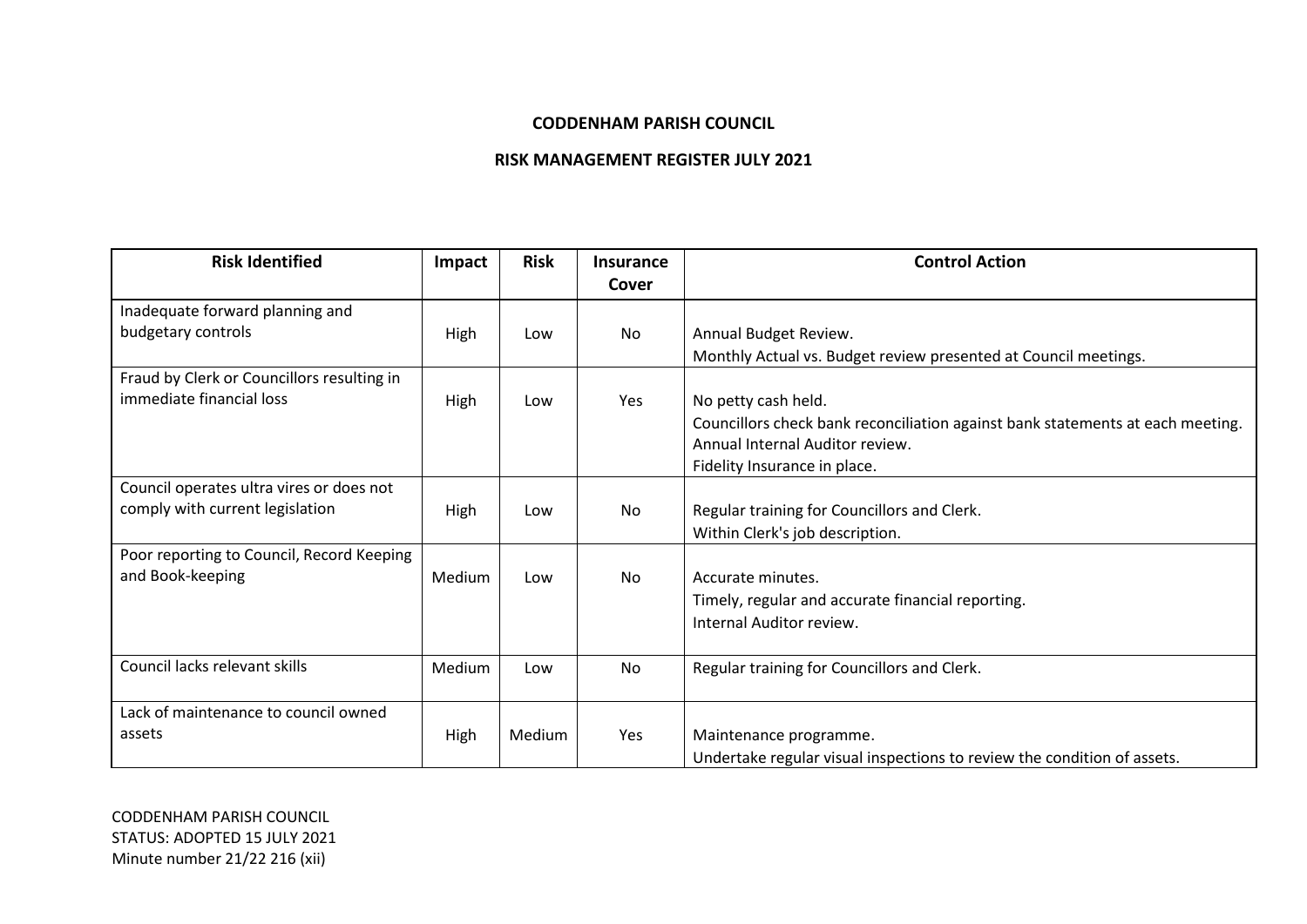## **CODDENHAM PARISH COUNCIL**

## **RISK MANAGEMENT REGISTER JULY 2021**

| <b>Risk Identified</b>                     | Impact        | <b>Risk</b> | <b>Insurance</b><br>Cover | <b>Control Action</b>                                                          |
|--------------------------------------------|---------------|-------------|---------------------------|--------------------------------------------------------------------------------|
|                                            |               |             |                           |                                                                                |
| Inadequate forward planning and            |               |             |                           |                                                                                |
| budgetary controls                         | High          | Low         | No                        | Annual Budget Review.                                                          |
|                                            |               |             |                           | Monthly Actual vs. Budget review presented at Council meetings.                |
| Fraud by Clerk or Councillors resulting in |               |             |                           |                                                                                |
| immediate financial loss                   | High          | Low         | Yes                       | No petty cash held.                                                            |
|                                            |               |             |                           | Councillors check bank reconciliation against bank statements at each meeting. |
|                                            |               |             |                           | Annual Internal Auditor review.                                                |
|                                            |               |             |                           | Fidelity Insurance in place.                                                   |
| Council operates ultra vires or does not   |               |             |                           |                                                                                |
| comply with current legislation            |               | Low         | No                        |                                                                                |
|                                            | High          |             |                           | Regular training for Councillors and Clerk.                                    |
|                                            |               |             |                           | Within Clerk's job description.                                                |
| Poor reporting to Council, Record Keeping  |               |             |                           |                                                                                |
| and Book-keeping                           | <b>Medium</b> | Low         | No                        | Accurate minutes.                                                              |
|                                            |               |             |                           | Timely, regular and accurate financial reporting.                              |
|                                            |               |             |                           | Internal Auditor review.                                                       |
|                                            |               |             |                           |                                                                                |
| Council lacks relevant skills              | Medium        | Low         | No                        | Regular training for Councillors and Clerk.                                    |
|                                            |               |             |                           |                                                                                |
| Lack of maintenance to council owned       |               |             |                           |                                                                                |
| assets                                     | High          | Medium      | Yes                       | Maintenance programme.                                                         |
|                                            |               |             |                           | Undertake regular visual inspections to review the condition of assets.        |